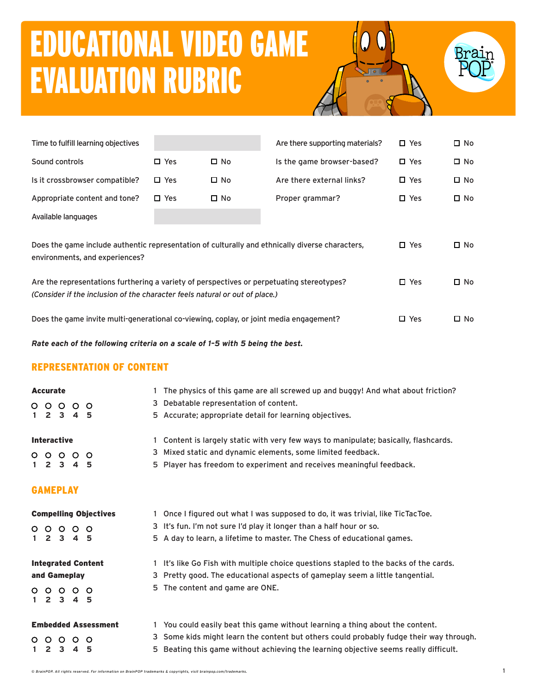# EDUCATIONAL VIDEO GAME EVALUATION RUBRIC





| Time to fulfill learning objectives                                                                                               |               |              | Are there supporting materials? | $\square$ Yes | $\square$ No |
|-----------------------------------------------------------------------------------------------------------------------------------|---------------|--------------|---------------------------------|---------------|--------------|
| Sound controls                                                                                                                    | $\square$ Yes | $\square$ No | Is the game browser-based?      | $\square$ Yes | $\square$ No |
| Is it crossbrowser compatible?                                                                                                    | $\square$ Yes | $\square$ No | Are there external links?       | $\square$ Yes | $\square$ No |
| Appropriate content and tone?                                                                                                     | $\Box$ Yes    | $\square$ No | Proper grammar?                 | $\square$ Yes | $\square$ No |
| Available languages                                                                                                               |               |              |                                 |               |              |
| Does the game include authentic representation of culturally and ethnically diverse characters,<br>environments, and experiences? |               |              |                                 |               | $\square$ No |
| Are the representations furthering a variety of perspectives or perpetuating stereotypes?                                         |               |              |                                 | $\square$ Yes | □ No         |

Does the game invite multi-generational co-viewing, coplay, or joint media engagement?  $\square$  Yes  $\square$  No

*Rate each of the following criteria on a scale of 1–5 with 5 being the best.*

*(Consider if the inclusion of the character feels natural or out of place.)*

# REPRESENTATION OF CONTENT

|              | <b>Accurate</b> |                         |                 |                              | The physics of this game are all screwed up and buggy! And what about friction?        |
|--------------|-----------------|-------------------------|-----------------|------------------------------|----------------------------------------------------------------------------------------|
|              |                 | 0 0 0 0 0               |                 |                              | 3 Debatable representation of content.                                                 |
| $\mathbf{1}$ |                 | $2 \quad 3$             | $\overline{4}$  | - 5                          | 5 Accurate; appropriate detail for learning objectives.                                |
|              |                 | <b>Interactive</b>      |                 |                              | 1 Content is largely static with very few ways to manipulate; basically, flashcards.   |
|              |                 | $\circ\circ\circ\circ$  |                 | $\circ$                      | 3 Mixed static and dynamic elements, some limited feedback.                            |
| 1.           |                 | $2 \quad 3 \quad 4$     |                 | - 5                          | 5 Player has freedom to experiment and receives meaningful feedback.                   |
|              |                 | <b>GAMEPLAY</b>         |                 |                              |                                                                                        |
|              |                 |                         |                 | <b>Compelling Objectives</b> | 1 Once I figured out what I was supposed to do, it was trivial, like TicTacToe.        |
|              | $\circ$ $\circ$ |                         | $\circ$ $\circ$ | $\circ$                      | 3 It's fun. I'm not sure I'd play it longer than a half hour or so.                    |
| $\mathbf{1}$ |                 | 2 3 4 5                 |                 |                              | 5 A day to learn, a lifetime to master. The Chess of educational games.                |
|              |                 |                         |                 | <b>Integrated Content</b>    | 1 It's like Go Fish with multiple choice questions stapled to the backs of the cards.  |
|              |                 | and Gameplay            |                 |                              | 3 Pretty good. The educational aspects of gameplay seem a little tangential.           |
|              |                 | 0000<br>$1\ 2\ 3\ 4\ 5$ |                 | $\circ$                      | 5 The content and game are ONE.                                                        |
|              |                 |                         |                 | <b>Embedded Assessment</b>   | You could easily beat this game without learning a thing about the content.            |
|              | $\circ$ $\circ$ | $\circ$                 | $\circ$         | $\circ$                      | 3 Some kids might learn the content but others could probably fudge their way through. |
| $\mathbf{1}$ |                 | 2 <sub>3</sub>          | $\overline{4}$  | 5                            | 5 Beating this game without achieving the learning objective seems really difficult.   |